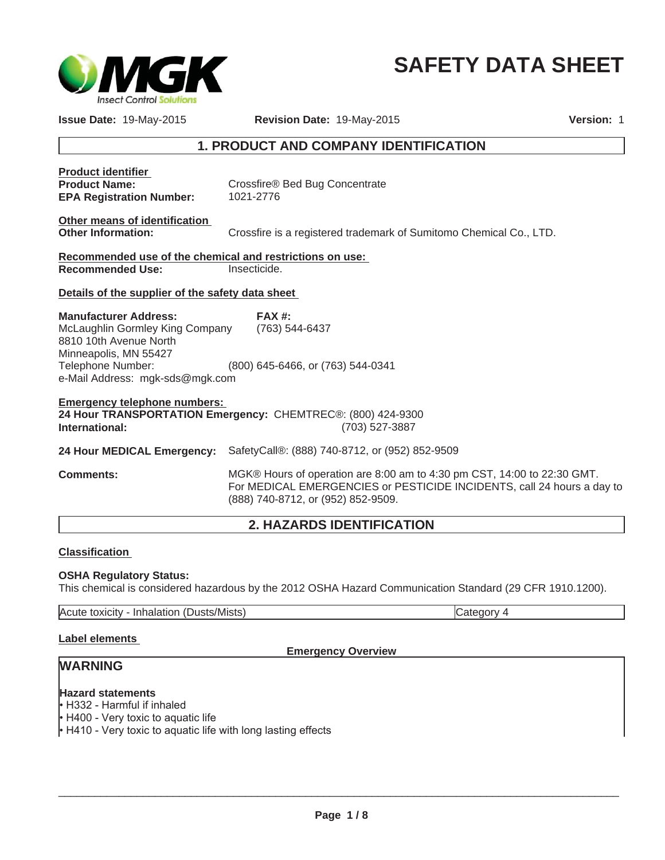

# **SAFETY DATA SHEET**

**Issue Date:** 19-May-2015 **Revision Date:** 19-May-2015 **Version:** 1

# **1. PRODUCT AND COMPANY IDENTIFICATION**

| <b>Product identifier</b><br><b>Product Name:</b><br><b>EPA Registration Number:</b>                                                                                       | Crossfire® Bed Bug Concentrate<br>1021-2776                                                                                                       |
|----------------------------------------------------------------------------------------------------------------------------------------------------------------------------|---------------------------------------------------------------------------------------------------------------------------------------------------|
| Other means of identification<br><b>Other Information:</b>                                                                                                                 | Crossfire is a registered trademark of Sumitomo Chemical Co., LTD.                                                                                |
| Recommended use of the chemical and restrictions on use:<br><b>Recommended Use:</b>                                                                                        | Insecticide.                                                                                                                                      |
| Details of the supplier of the safety data sheet                                                                                                                           |                                                                                                                                                   |
| <b>Manufacturer Address:</b><br>McLaughlin Gormley King Company<br>8810 10th Avenue North<br>Minneapolis, MN 55427<br>Telephone Number:<br>e-Mail Address: mgk-sds@mgk.com | <b>FAX #:</b><br>(763) 544-6437<br>(800) 645-6466, or (763) 544-0341                                                                              |
| <b>Emergency telephone numbers:</b><br>International:                                                                                                                      | 24 Hour TRANSPORTATION Emergency: CHEMTREC®: (800) 424-9300<br>(703) 527-3887                                                                     |
| 24 Hour MEDICAL Emergency:                                                                                                                                                 | SafetyCall®: (888) 740-8712, or (952) 852-9509                                                                                                    |
| <b>Comments:</b>                                                                                                                                                           | MGK® Hours of operation are 8:00 am to 4:30 pm CST, 14:00 to 22:30 GMT.<br>For MEDICAL EMERGENCIES or PESTICIDE INCIDENTS, call 24 hours a day to |

## **2. HAZARDS IDENTIFICATION**

(888) 740-8712, or (952) 852-9509.

## **Classification**

## **OSHA Regulatory Status:**

This chemical is considered hazardous by the 2012 OSHA Hazard Communication Standard (29 CFR 1910.1200).

Acute toxicity - Inhalation (Dusts/Mists) Category 4

## **Label elements**

## **Emergency Overview**

# **WARNING**

## **Hazard statements**

 $\cdot$  H332 - Harmful if inhaled

• H400 - Very toxic to aquatic life

 $\cdot$  H410 - Very toxic to aquatic life with long lasting effects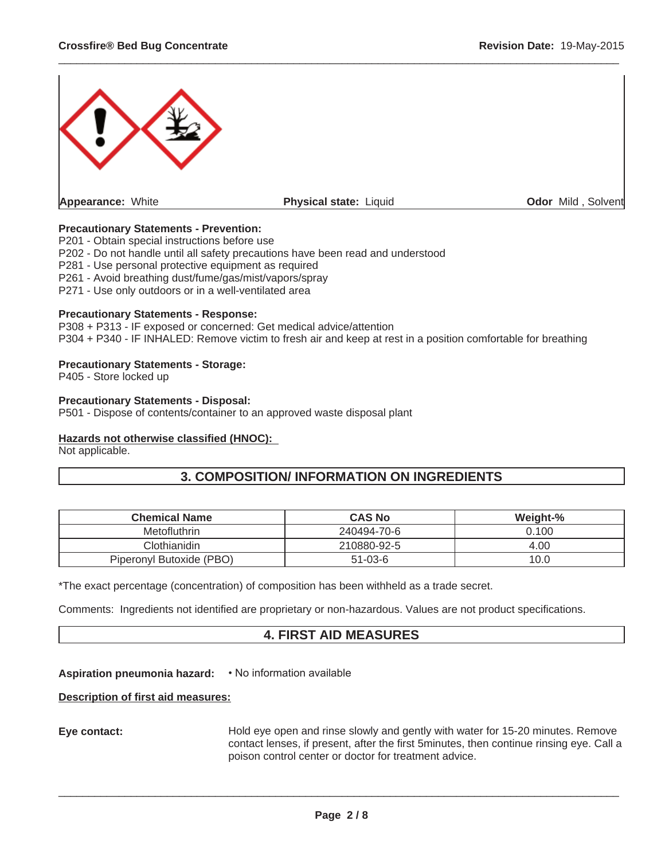

 $\_$  ,  $\_$  ,  $\_$  ,  $\_$  ,  $\_$  ,  $\_$  ,  $\_$  ,  $\_$  ,  $\_$  ,  $\_$  ,  $\_$  ,  $\_$  ,  $\_$  ,  $\_$  ,  $\_$  ,  $\_$  ,  $\_$  ,  $\_$  ,  $\_$  ,  $\_$  ,  $\_$  ,  $\_$  ,  $\_$  ,  $\_$  ,  $\_$  ,  $\_$  ,  $\_$  ,  $\_$  ,  $\_$  ,  $\_$  ,  $\_$  ,  $\_$  ,  $\_$  ,  $\_$  ,  $\_$  ,  $\_$  ,  $\_$  ,

## **Precautionary Statements - Prevention:**

P201 - Obtain special instructions before use

P202 - Do not handle until all safety precautions have been read and understood

P281 - Use personal protective equipment as required

P261 - Avoid breathing dust/fume/gas/mist/vapors/spray

P271 - Use only outdoors or in a well-ventilated area

#### **Precautionary Statements - Response:**

P308 + P313 - IF exposed or concerned: Get medical advice/attention P304 + P340 - IF INHALED: Remove victim to fresh air and keep at rest in a position comfortable for breathing

## **Precautionary Statements - Storage:**

P405 - Store locked up

## **Precautionary Statements - Disposal:**

P501 - Dispose of contents/container to an approved waste disposal plant

## **Hazards not otherwise classified (HNOC):**

Not applicable.

## **3. COMPOSITION/ INFORMATION ON INGREDIENTS**

| <b>Chemical Name</b>     | <b>CAS No</b> | Weight-% |
|--------------------------|---------------|----------|
| Metofluthrin             | 240494-70-6   | 0.100    |
| Clothianidin             | 210880-92-5   | 4.00     |
| Piperonyl Butoxide (PBO) | $51 - 03 - 6$ | 10.0     |

\*The exact percentage (concentration) of composition has been withheld as a trade secret.

Comments: Ingredients not identified are proprietary or non-hazardous. Values are not product specifications.

## **4. FIRST AID MEASURES**

## Aspiration pneumonia hazard: • No information available

## **Description of first aid measures:**

**Eye contact:** Hold eye open and rinse slowly and gently with water for 15-20 minutes. Remove contact lenses, if present, after the first 5minutes, then continue rinsing eye. Call a poison control center or doctor for treatment advice.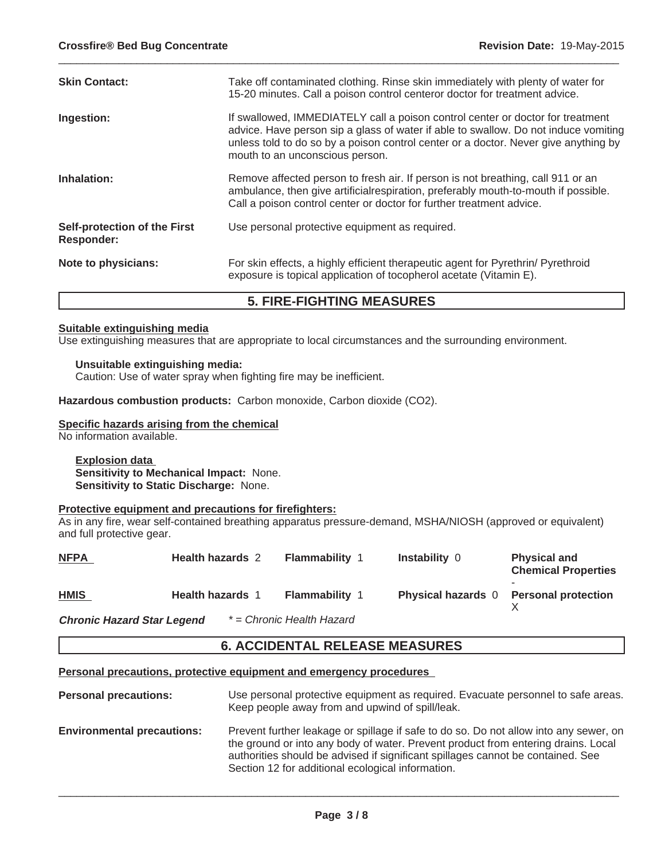| <b>Skin Contact:</b>                              | Take off contaminated clothing. Rinse skin immediately with plenty of water for<br>15-20 minutes. Call a poison control centeror doctor for treatment advice.                                                                                                                                   |
|---------------------------------------------------|-------------------------------------------------------------------------------------------------------------------------------------------------------------------------------------------------------------------------------------------------------------------------------------------------|
| Ingestion:                                        | If swallowed, IMMEDIATELY call a poison control center or doctor for treatment<br>advice. Have person sip a glass of water if able to swallow. Do not induce vomiting<br>unless told to do so by a poison control center or a doctor. Never give anything by<br>mouth to an unconscious person. |
| Inhalation:                                       | Remove affected person to fresh air. If person is not breathing, call 911 or an<br>ambulance, then give artificialrespiration, preferably mouth-to-mouth if possible.<br>Call a poison control center or doctor for further treatment advice.                                                   |
| Self-protection of the First<br><b>Responder:</b> | Use personal protective equipment as required.                                                                                                                                                                                                                                                  |
| Note to physicians:                               | For skin effects, a highly efficient therapeutic agent for Pyrethrin/ Pyrethroid<br>exposure is topical application of tocopherol acetate (Vitamin E).                                                                                                                                          |

 $\_$  ,  $\_$  ,  $\_$  ,  $\_$  ,  $\_$  ,  $\_$  ,  $\_$  ,  $\_$  ,  $\_$  ,  $\_$  ,  $\_$  ,  $\_$  ,  $\_$  ,  $\_$  ,  $\_$  ,  $\_$  ,  $\_$  ,  $\_$  ,  $\_$  ,  $\_$  ,  $\_$  ,  $\_$  ,  $\_$  ,  $\_$  ,  $\_$  ,  $\_$  ,  $\_$  ,  $\_$  ,  $\_$  ,  $\_$  ,  $\_$  ,  $\_$  ,  $\_$  ,  $\_$  ,  $\_$  ,  $\_$  ,  $\_$  ,

## **5. FIRE-FIGHTING MEASURES**

#### **Suitable extinguishing media**

Use extinguishing measures that are appropriate to local circumstances and the surrounding environment.

## **Unsuitable extinguishing media:**

Caution: Use of water spray when fighting fire may be inefficient.

**Hazardous combustion products:** Carbon monoxide, Carbon dioxide (CO2).

## **Specific hazards arising from the chemical**

No information available.

**Explosion data Sensitivity to Mechanical Impact:** None. **Sensitivity to Static Discharge:** None.

## **Protective equipment and precautions for firefighters:**

As in any fire, wear self-contained breathing apparatus pressure-demand, MSHA/NIOSH (approved or equivalent) and full protective gear.

| <b>NFPA</b>                       | <b>Health hazards 2</b> | <b>Flammability 1</b>     | <b>Instability 0</b>                   | <b>Physical and</b><br><b>Chemical Properties</b> |
|-----------------------------------|-------------------------|---------------------------|----------------------------------------|---------------------------------------------------|
| <b>HMIS</b>                       | <b>Health hazards 1</b> | <b>Flammability 1</b>     | Physical hazards 0 Personal protection |                                                   |
| <b>Chronic Hazard Star Legend</b> |                         | * = Chronic Health Hazard |                                        |                                                   |

**6. ACCIDENTAL RELEASE MEASURES**

**Personal precautions, protective equipment and emergency procedures**

- **Personal precautions:** Use personal protective equipment as required. Evacuate personnel to safe areas. Keep people away from and upwind of spill/leak.
- **Environmental precautions:** Prevent further leakage or spillage if safe to do so. Do not allow into any sewer, on the ground or into any body of water. Prevent product from entering drains. Local authorities should be advised if significant spillages cannot be contained. See Section 12 for additional ecological information.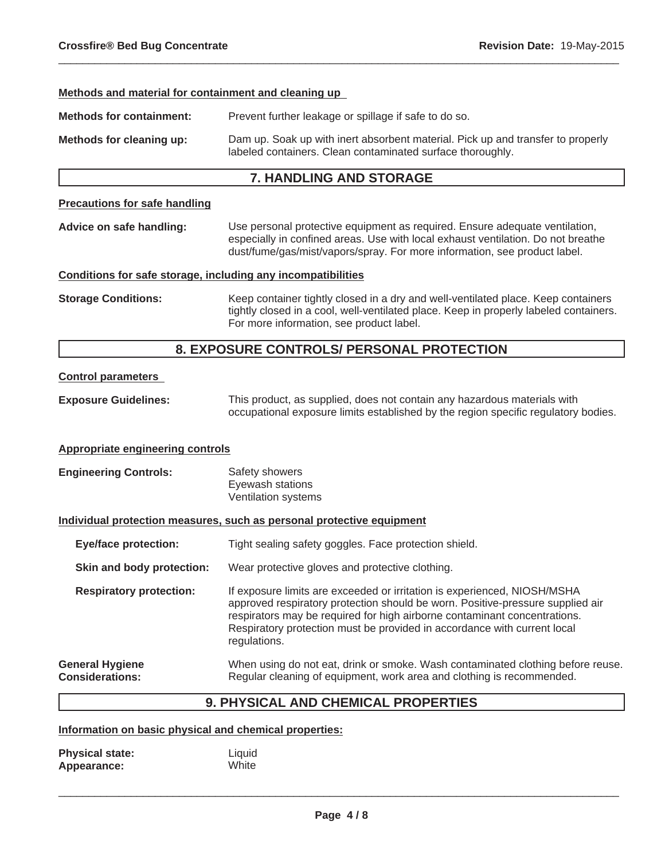#### **Methods and material for containment and cleaning up**

**Methods for containment:** Prevent further leakage or spillage if safe to do so.

**Methods for cleaning up:** Dam up. Soak up with inert absorbent material. Pick up and transfer to properly labeled containers. Clean contaminated surface thoroughly.

 $\_$  ,  $\_$  ,  $\_$  ,  $\_$  ,  $\_$  ,  $\_$  ,  $\_$  ,  $\_$  ,  $\_$  ,  $\_$  ,  $\_$  ,  $\_$  ,  $\_$  ,  $\_$  ,  $\_$  ,  $\_$  ,  $\_$  ,  $\_$  ,  $\_$  ,  $\_$  ,  $\_$  ,  $\_$  ,  $\_$  ,  $\_$  ,  $\_$  ,  $\_$  ,  $\_$  ,  $\_$  ,  $\_$  ,  $\_$  ,  $\_$  ,  $\_$  ,  $\_$  ,  $\_$  ,  $\_$  ,  $\_$  ,  $\_$  ,

## **7. HANDLING AND STORAGE**

## **Precautions for safe handling**

**Advice on safe handling:** Use personal protective equipment as required. Ensure adequate ventilation, especially in confined areas. Use with local exhaust ventilation. Do not breathe dust/fume/gas/mist/vapors/spray. For more information, see product label.

#### **Conditions for safe storage, including any incompatibilities**

**Storage Conditions:** Keep container tightly closed in a dry and well-ventilated place. Keep containers tightly closed in a cool, well-ventilated place. Keep in properly labeled containers. For more information, see product label.

## **8. EXPOSURE CONTROLS/ PERSONAL PROTECTION**

## **Control parameters**

**Exposure Guidelines:** This product, as supplied, does not contain any hazardous materials with occupational exposure limits established by the region specific regulatory bodies.

#### **Appropriate engineering controls**

| <b>Engineering Controls:</b> | Safety showers      |
|------------------------------|---------------------|
|                              | Eyewash stations    |
|                              | Ventilation systems |

#### **Individual protection measures, such as personal protective equipment**

| <b>Eye/face protection:</b>                      | Tight sealing safety goggles. Face protection shield.                                                                                                                                                                                                                                                                               |
|--------------------------------------------------|-------------------------------------------------------------------------------------------------------------------------------------------------------------------------------------------------------------------------------------------------------------------------------------------------------------------------------------|
| Skin and body protection:                        | Wear protective gloves and protective clothing.                                                                                                                                                                                                                                                                                     |
| <b>Respiratory protection:</b>                   | If exposure limits are exceeded or irritation is experienced, NIOSH/MSHA<br>approved respiratory protection should be worn. Positive-pressure supplied air<br>respirators may be required for high airborne contaminant concentrations.<br>Respiratory protection must be provided in accordance with current local<br>regulations. |
| <b>General Hygiene</b><br><b>Considerations:</b> | When using do not eat, drink or smoke. Wash contaminated clothing before reuse.<br>Regular cleaning of equipment, work area and clothing is recommended.                                                                                                                                                                            |

## **9. PHYSICAL AND CHEMICAL PROPERTIES**

#### **Information on basic physical and chemical properties:**

| <b>Physical state:</b> | Liquid |
|------------------------|--------|
| Appearance:            | White  |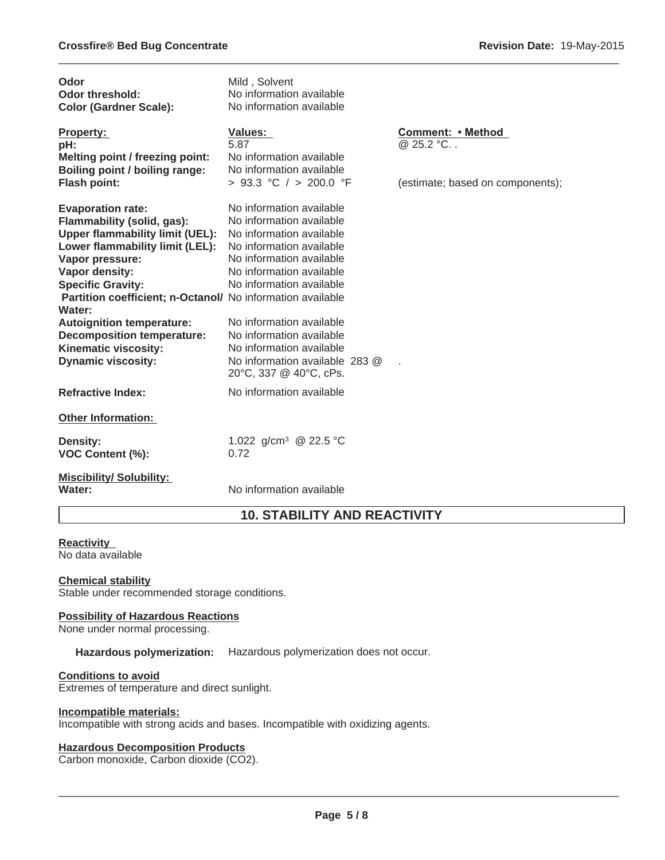| Odor<br><b>Odor threshold:</b><br><b>Color (Gardner Scale):</b>                                                                                                                                                                                                                                                                                                                                            | Mild, Solvent<br>No information available<br>No information available                                                                                                                                                                                                                                                                            |                                  |
|------------------------------------------------------------------------------------------------------------------------------------------------------------------------------------------------------------------------------------------------------------------------------------------------------------------------------------------------------------------------------------------------------------|--------------------------------------------------------------------------------------------------------------------------------------------------------------------------------------------------------------------------------------------------------------------------------------------------------------------------------------------------|----------------------------------|
| <b>Property:</b><br>pH:<br>Melting point / freezing point:<br>Boiling point / boiling range:                                                                                                                                                                                                                                                                                                               | Values:<br>5.87<br>No information available<br>No information available                                                                                                                                                                                                                                                                          | Comment: • Method<br>@ 25.2 °C   |
| <b>Flash point:</b>                                                                                                                                                                                                                                                                                                                                                                                        | > 93.3 °C / > 200.0 °F                                                                                                                                                                                                                                                                                                                           | (estimate; based on components); |
| <b>Evaporation rate:</b><br>Flammability (solid, gas):<br><b>Upper flammability limit (UEL):</b><br>Lower flammability limit (LEL):<br>Vapor pressure:<br>Vapor density:<br><b>Specific Gravity:</b><br>Partition coefficient; n-Octanol/ No information available<br>Water:<br><b>Autoignition temperature:</b><br><b>Decomposition temperature:</b><br>Kinematic viscosity:<br><b>Dynamic viscosity:</b> | No information available<br>No information available<br>No information available<br>No information available<br>No information available<br>No information available<br>No information available<br>No information available<br>No information available<br>No information available<br>No information available 283 @<br>20°C, 337 @ 40°C, cPs. |                                  |
| <b>Refractive Index:</b>                                                                                                                                                                                                                                                                                                                                                                                   | No information available                                                                                                                                                                                                                                                                                                                         |                                  |
| <b>Other Information:</b>                                                                                                                                                                                                                                                                                                                                                                                  |                                                                                                                                                                                                                                                                                                                                                  |                                  |
| <b>Density:</b><br><b>VOC Content (%):</b>                                                                                                                                                                                                                                                                                                                                                                 | 1.022 g/cm <sup>3</sup> @ 22.5 °C<br>0.72                                                                                                                                                                                                                                                                                                        |                                  |
| <b>Miscibility/ Solubility:</b><br>Water:                                                                                                                                                                                                                                                                                                                                                                  | No information available                                                                                                                                                                                                                                                                                                                         |                                  |

 $\_$  ,  $\_$  ,  $\_$  ,  $\_$  ,  $\_$  ,  $\_$  ,  $\_$  ,  $\_$  ,  $\_$  ,  $\_$  ,  $\_$  ,  $\_$  ,  $\_$  ,  $\_$  ,  $\_$  ,  $\_$  ,  $\_$  ,  $\_$  ,  $\_$  ,  $\_$  ,  $\_$  ,  $\_$  ,  $\_$  ,  $\_$  ,  $\_$  ,  $\_$  ,  $\_$  ,  $\_$  ,  $\_$  ,  $\_$  ,  $\_$  ,  $\_$  ,  $\_$  ,  $\_$  ,  $\_$  ,  $\_$  ,  $\_$  ,

# **10. STABILITY AND REACTIVITY**

## **Reactivity**

No data available

## **Chemical stability**

Stable under recommended storage conditions.

## **Possibility of Hazardous Reactions**

None under normal processing.

**Hazardous polymerization:** Hazardous polymerization does not occur.

## **Conditions to avoid**

Extremes of temperature and direct sunlight.

## **Incompatible materials:**

Incompatible with strong acids and bases. Incompatible with oxidizing agents.

## **Hazardous Decomposition Products**

Carbon monoxide, Carbon dioxide (CO2).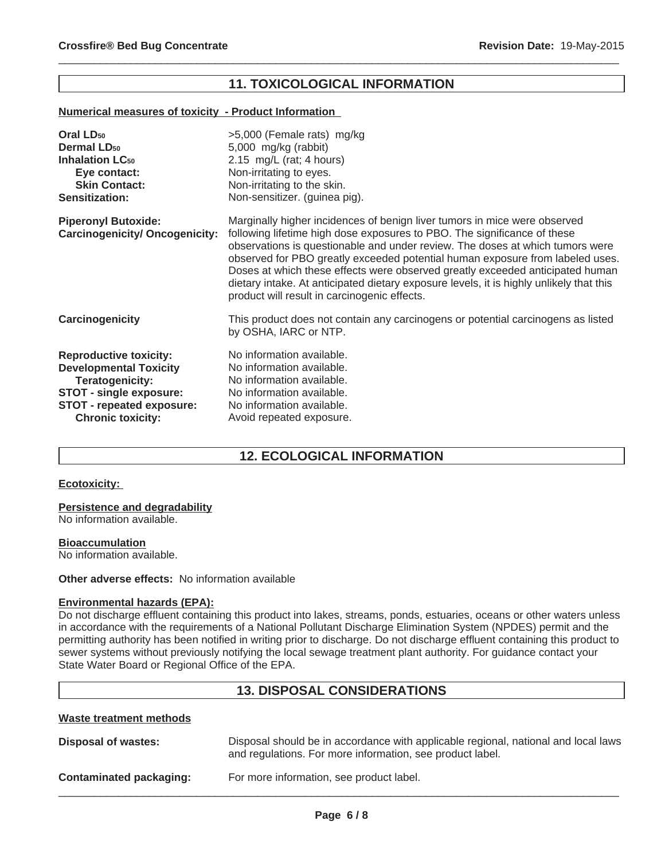## **11. TOXICOLOGICAL INFORMATION**

 $\_$  ,  $\_$  ,  $\_$  ,  $\_$  ,  $\_$  ,  $\_$  ,  $\_$  ,  $\_$  ,  $\_$  ,  $\_$  ,  $\_$  ,  $\_$  ,  $\_$  ,  $\_$  ,  $\_$  ,  $\_$  ,  $\_$  ,  $\_$  ,  $\_$  ,  $\_$  ,  $\_$  ,  $\_$  ,  $\_$  ,  $\_$  ,  $\_$  ,  $\_$  ,  $\_$  ,  $\_$  ,  $\_$  ,  $\_$  ,  $\_$  ,  $\_$  ,  $\_$  ,  $\_$  ,  $\_$  ,  $\_$  ,  $\_$  ,

#### **Numerical measures of toxicity - Product Information**

| Oral LD <sub>50</sub>                                               | >5,000 (Female rats) mg/kg                                                                                                                                                                                                                                                                                                                                                                                                                                                                                                                          |
|---------------------------------------------------------------------|-----------------------------------------------------------------------------------------------------------------------------------------------------------------------------------------------------------------------------------------------------------------------------------------------------------------------------------------------------------------------------------------------------------------------------------------------------------------------------------------------------------------------------------------------------|
| <b>Dermal LD<sub>50</sub></b>                                       | 5,000 mg/kg (rabbit)                                                                                                                                                                                                                                                                                                                                                                                                                                                                                                                                |
| <b>Inhalation LC<sub>50</sub></b>                                   | 2.15 mg/L (rat; 4 hours)                                                                                                                                                                                                                                                                                                                                                                                                                                                                                                                            |
| Eye contact:                                                        | Non-irritating to eyes.                                                                                                                                                                                                                                                                                                                                                                                                                                                                                                                             |
| <b>Skin Contact:</b>                                                | Non-irritating to the skin.                                                                                                                                                                                                                                                                                                                                                                                                                                                                                                                         |
| <b>Sensitization:</b>                                               | Non-sensitizer. (guinea pig).                                                                                                                                                                                                                                                                                                                                                                                                                                                                                                                       |
| <b>Piperonyl Butoxide:</b><br><b>Carcinogenicity/ Oncogenicity:</b> | Marginally higher incidences of benign liver tumors in mice were observed<br>following lifetime high dose exposures to PBO. The significance of these<br>observations is questionable and under review. The doses at which tumors were<br>observed for PBO greatly exceeded potential human exposure from labeled uses.<br>Doses at which these effects were observed greatly exceeded anticipated human<br>dietary intake. At anticipated dietary exposure levels, it is highly unlikely that this<br>product will result in carcinogenic effects. |
| Carcinogenicity                                                     | This product does not contain any carcinogens or potential carcinogens as listed<br>by OSHA, IARC or NTP.                                                                                                                                                                                                                                                                                                                                                                                                                                           |
| <b>Reproductive toxicity:</b>                                       | No information available.                                                                                                                                                                                                                                                                                                                                                                                                                                                                                                                           |
| <b>Developmental Toxicity</b>                                       | No information available.                                                                                                                                                                                                                                                                                                                                                                                                                                                                                                                           |
| Teratogenicity:                                                     | No information available.                                                                                                                                                                                                                                                                                                                                                                                                                                                                                                                           |
| <b>STOT - single exposure:</b>                                      | No information available.                                                                                                                                                                                                                                                                                                                                                                                                                                                                                                                           |
| STOT - repeated exposure:                                           | No information available.                                                                                                                                                                                                                                                                                                                                                                                                                                                                                                                           |
| <b>Chronic toxicity:</b>                                            | Avoid repeated exposure.                                                                                                                                                                                                                                                                                                                                                                                                                                                                                                                            |

## **12. ECOLOGICAL INFORMATION**

#### **Ecotoxicity:**

#### **Persistence and degradability**

No information available.

## **Bioaccumulation**

No information available.

## **Other adverse effects:** No information available

## **Environmental hazards (EPA):**

Do not discharge effluent containing this product into lakes, streams, ponds, estuaries, oceans or other waters unless in accordance with the requirements of a National Pollutant Discharge Elimination System (NPDES) permit and the permitting authority has been notified in writing prior to discharge. Do not discharge effluent containing this product to sewer systems without previously notifying the local sewage treatment plant authority. For guidance contact your State Water Board or Regional Office of the EPA.

# **13. DISPOSAL CONSIDERATIONS**

#### **Waste treatment methods**

| Disposal of wastes:     | Disposal should be in accordance with applicable regional, national and local laws<br>and regulations. For more information, see product label. |
|-------------------------|-------------------------------------------------------------------------------------------------------------------------------------------------|
| Contaminated packaging: | For more information, see product label.                                                                                                        |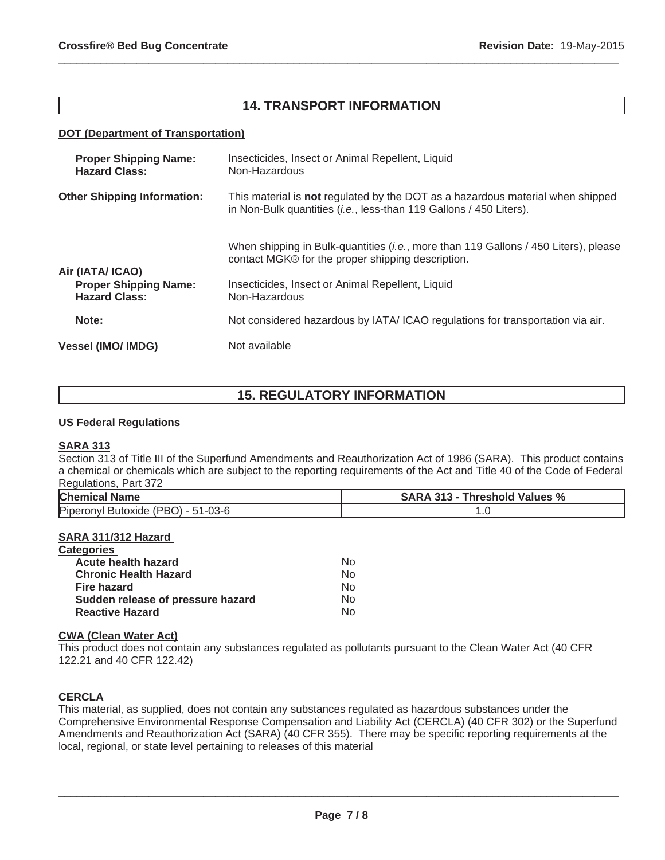## **14. TRANSPORT INFORMATION**

 $\_$  ,  $\_$  ,  $\_$  ,  $\_$  ,  $\_$  ,  $\_$  ,  $\_$  ,  $\_$  ,  $\_$  ,  $\_$  ,  $\_$  ,  $\_$  ,  $\_$  ,  $\_$  ,  $\_$  ,  $\_$  ,  $\_$  ,  $\_$  ,  $\_$  ,  $\_$  ,  $\_$  ,  $\_$  ,  $\_$  ,  $\_$  ,  $\_$  ,  $\_$  ,  $\_$  ,  $\_$  ,  $\_$  ,  $\_$  ,  $\_$  ,  $\_$  ,  $\_$  ,  $\_$  ,  $\_$  ,  $\_$  ,  $\_$  ,

## **DOT (Department of Transportation)**

| <b>Proper Shipping Name:</b><br><b>Hazard Class:</b> | Insecticides, Insect or Animal Repellent, Liquid<br>Non-Hazardous                                                                                                    |
|------------------------------------------------------|----------------------------------------------------------------------------------------------------------------------------------------------------------------------|
| <b>Other Shipping Information:</b>                   | This material is <b>not</b> regulated by the DOT as a hazardous material when shipped<br>in Non-Bulk quantities ( <i>i.e.</i> , less-than 119 Gallons / 450 Liters). |
| Air (IATA/ ICAO)                                     | When shipping in Bulk-quantities <i>(i.e., more than 119 Gallons / 450 Liters), please</i><br>contact MGK® for the proper shipping description.                      |
| <b>Proper Shipping Name:</b><br><b>Hazard Class:</b> | Insecticides, Insect or Animal Repellent, Liquid<br>Non-Hazardous                                                                                                    |
| Note:                                                | Not considered hazardous by IATA/ICAO regulations for transportation via air.                                                                                        |
| <b>Vessel (IMO/ IMDG)</b>                            | Not available                                                                                                                                                        |

# **15. REGULATORY INFORMATION**

#### **US Federal Regulations**

## **SARA 313**

Section 313 of Title III of the Superfund Amendments and Reauthorization Act of 1986 (SARA). This product contains a chemical or chemicals which are subject to the reporting requirements of the Act and Title 40 of the Code of Federal Regulations, Part 372

| <b>Chemical Name</b>               | <b>SARA 313 - Threshold Values %</b> |
|------------------------------------|--------------------------------------|
| Piperonyl Butoxide (PBO) - 51-03-6 | $\cdot\cdot$                         |

## **SARA 311/312 Hazard**

| <b>Categories</b>                 |     |
|-----------------------------------|-----|
| <b>Acute health hazard</b>        | No  |
| <b>Chronic Health Hazard</b>      | No. |
| <b>Fire hazard</b>                | No. |
| Sudden release of pressure hazard | No. |
| <b>Reactive Hazard</b>            | No. |

## **CWA (Clean Water Act)**

This product does not contain any substances regulated as pollutants pursuant to the Clean Water Act (40 CFR 122.21 and 40 CFR 122.42)

## **CERCLA**

This material, as supplied, does not contain any substances regulated as hazardous substances under the Comprehensive Environmental Response Compensation and Liability Act (CERCLA) (40 CFR 302) or the Superfund Amendments and Reauthorization Act (SARA) (40 CFR 355). There may be specific reporting requirements at the local, regional, or state level pertaining to releases of this material